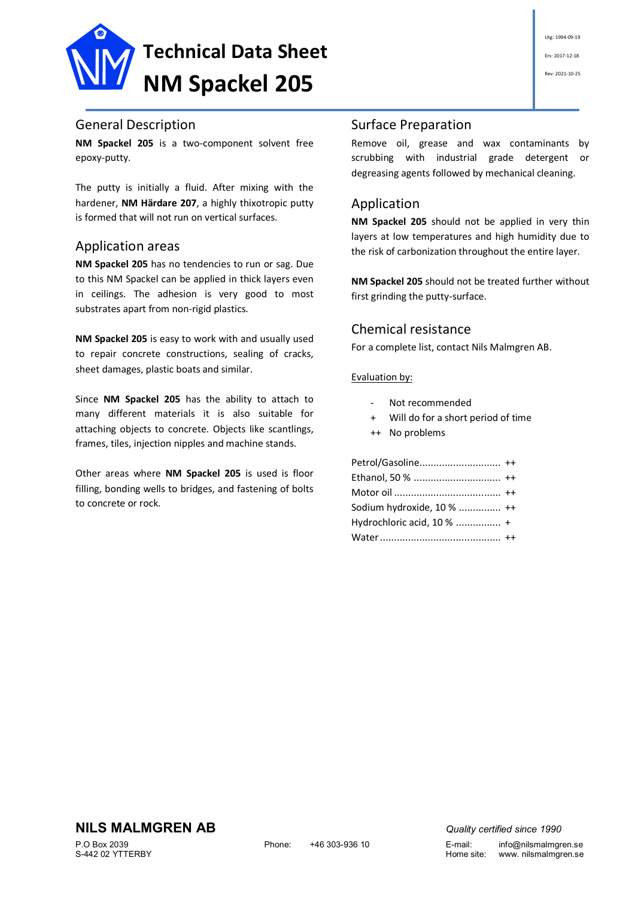

### General Description

**NM Spackel 205** is a two-component solvent free epoxy-putty.

The putty is initially a fluid. After mixing with the hardener, **NM Härdare 207**, a highly thixotropic putty is formed that will not run on vertical surfaces.

#### Application areas

**NM Spackel 205** has no tendencies to run or sag. Due to this NM Spackel can be applied in thick layers even in ceilings. The adhesion is very good to most substrates apart from non-rigid plastics.

**NM Spackel 205** is easy to work with and usually used to repair concrete constructions, sealing of cracks, sheet damages, plastic boats and similar.

Since **NM Spackel 205** has the ability to attach to many different materials it is also suitable for attaching objects to concrete. Objects like scantlings, frames, tiles, injection nipples and machine stands.

Other areas where **NM Spackel 205** is used is floor filling, bonding wells to bridges, and fastening of bolts to concrete or rock.

# Utg: 1994-09-19 Ers: 2017-12-18 Rev: 2021-10-25

### Surface Preparation

Remove oil, grease and wax contaminants by scrubbing with industrial grade detergent or degreasing agents followed by mechanical cleaning.

## Application

**NM Spackel 205** should not be applied in very thin layers at low temperatures and high humidity due to the risk of carbonization throughout the entire layer.

**NM Spackel 205** should not be treated further without first grinding the putty-surface.

#### Chemical resistance

For a complete list, contact Nils Malmgren AB.

#### Evaluation by:

- Not recommended
- Will do for a short period of time
- ++ No problems

Petrol/Gasoline............................. ++ Ethanol, 50 % ............................... ++ Motor oil ...................................... ++ Sodium hydroxide, 10 % ............... ++ Hydrochloric acid, 10 % ................ + Water........................................... ++